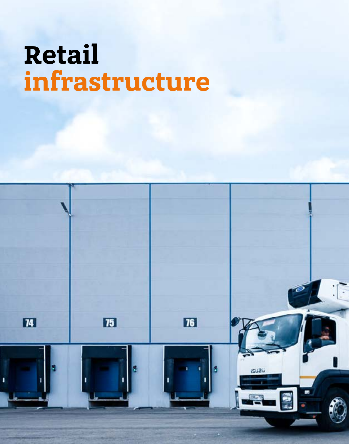# **Retail infrastructure**

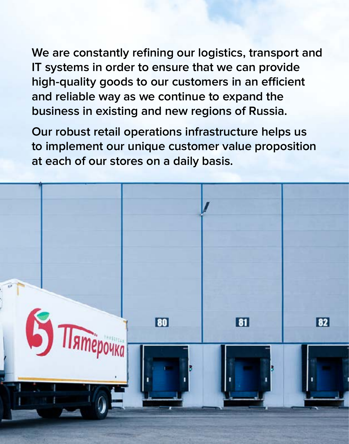**We are constantly refining our logistics, transport and IT systems in order to ensure that we can provide high-quality goods to our customers in an efficient and reliable way as we continue to expand the business in existing and new regions of Russia.** 

**Our robust retail operations infrastructure helps us to implement our unique customer value proposition at each of our stores on a daily basis.**

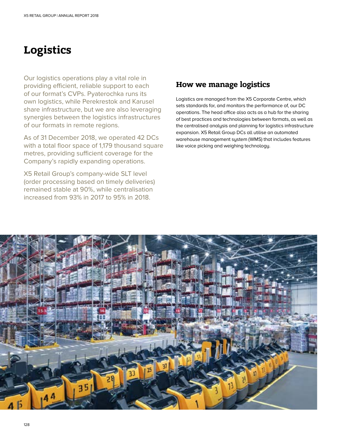# **Logistics**

Our logistics operations play a vital role in providing efficient, reliable support to each of our format's CVPs. Pyaterochka runs its own logistics, while Perekrestok and Karusel share infrastructure, but we are also leveraging synergies between the logistics infrastructures of our formats in remote regions.

As of 31 December 2018, we operated 42 DCs with a total floor space of 1,179 thousand square metres, providing sufficient coverage for the Company's rapidly expanding operations.

X5 Retail Group's company-wide SLT level (order processing based on timely deliveries) remained stable at 90%, while centralisation increased from 93% in 2017 to 95% in 2018.

### **How we manage logistics**

Logistics are managed from the X5 Corporate Centre, which sets standards for, and monitors the performance of, our DC operations. The head office also acts as a hub for the sharing of best practices and technologies between formats, as well as the centralised analysis and planning for logistics infrastructure expansion. X5 Retail Group DCs all utilise an automated warehouse management system (WMS) that includes features like voice picking and weighing technology.

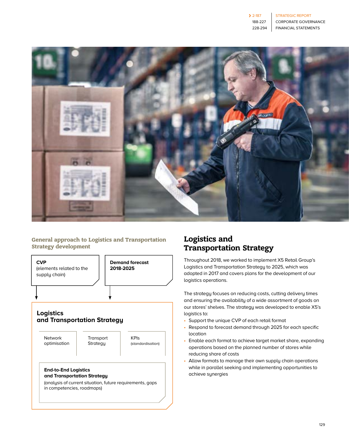

#### **General approach to Logistics and Transportation Strategy development**



#### **Logistics and Transportation Strategy**

Network optimisation

**Transport Strategy** 

KPIs (standardisation)

#### **End-to-End Logistics and Transportation Strategy**

(analysis of current situation, future requirements, gaps in competencies, roadmaps)

## **Logistics and Transportation Strategy**

Throughout 2018, we worked to implement X5 Retail Group's Logistics and Transportation Strategy to 2025, which was adopted in 2017 and covers plans for the development of our logistics operations.

The strategy focuses on reducing costs, cutting delivery times and ensuring the availability of a wide assortment of goods on our stores' shelves. The strategy was developed to enable X5's logistics to:

- Support the unique CVP of each retail format
- Respond to forecast demand through 2025 for each specific location
- Enable each format to achieve target market share, expanding operations based on the planned number of stores while reducing share of costs
- Allow formats to manage their own supply chain operations while in parallel seeking and implementing opportunities to achieve synergies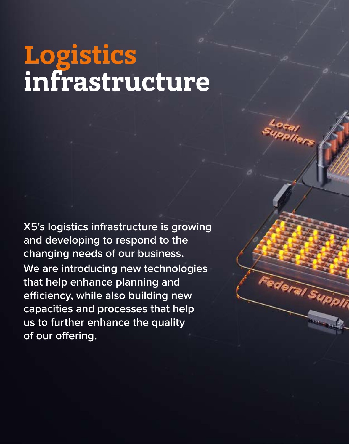# **Logistics infrastructure**

**X5's logistics infrastructure is growing and developing to respond to the changing needs of our business. We are introducing new technologies that help enhance planning and efficiency, while also building new capacities and processes that help us to further enhance the quality of our offering.**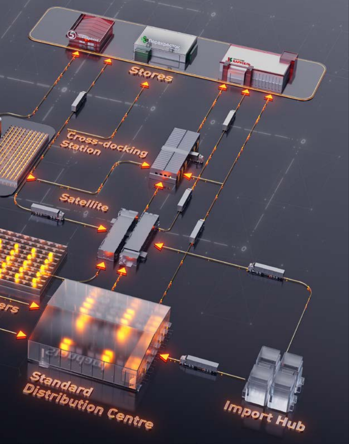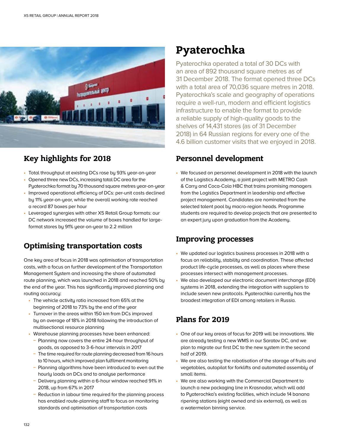

## **Key highlights for 2018**

- Total throughput at existing DCs rose by 93% year-on-year
- Opened three new DCs, increasing total DC area for the Pyaterochka format by 70 thousand square metres year-on-year
- Improved operational efficiency of DCs: per-unit costs declined by 11% year-on-year, while the overall working rate reached a record 87 boxes per hour
- Leveraged synergies with other X5 Retail Group formats: our DC network increased the volume of boxes handled for largeformat stores by 91% year-on-year to 2.2 million

## **Optimising transportation costs**

One key area of focus in 2018 was optimisation of transportation costs, with a focus on further development of the Transportation Management System and increasing the share of automated route planning, which was launched in 2018 and reached 50% by the end of the year. This has significantly improved planning and routing accuracy:

- The vehicle activity ratio increased from 65% at the beginning of 2018 to 73% by the end of the year
- Turnover in the areas within 150 km from DCs improved by an average of 18% in 2018 following the introduction of multisectional resource planning
- Warehouse planning processes have been enhanced:
	- **−** Planning now covers the entire 24-hour throughput of goods, as opposed to 3-6-hour intervals in 2017
	- **−** The time required for route planning decreased from 16 hours to 10 hours, which improved plan fulfilment monitoring
	- **−** Planning algorithms have been introduced to even out the hourly loads on DCs and to analyse performance
	- **−** Delivery planning within a 6-hour window reached 91% in 2018, up from 67% in 2017
	- **−** Reduction in labour time required for the planning process has enabled route-planning staff to focus on monitoring standards and optimisation of transportation costs

# **Pyaterochka**

Pyaterochka operated a total of 30 DCs with an area of 892 thousand square metres as of 31 December 2018. The format opened three DCs with a total area of 70,036 square metres in 2018. Pyaterochka's scale and geography of operations require a well-run, modern and efficient logistics infrastructure to enable the format to provide a reliable supply of high-quality goods to the shelves of 14,431 stores (as of 31 December 2018) in 64 Russian regions for every one of the 4.6 billion customer visits that we enjoyed in 2018.

## **Personnel development**

• We focused on personnel development in 2018 with the launch of the Logistics Academy, a joint project with METRO Cash & Carry and Coca-Cola HBC that trains promising managers from the Logistics Department in leadership and effective project management. Candidates are nominated from the selected talent pool by macro-region heads. Programme students are required to develop projects that are presented to an expert jury upon graduation from the Academy.

## **Improving processes**

- We updated our logistics business processes in 2018 with a focus on reliability, stability and coordination. These affected product life-cycle processes, as well as places where these processes intersect with management processes.
- We also developed our electronic document interchange (EDI) systems in 2018, extending the integration with suppliers to include seven new protocols. Pyaterochka currently has the broadest integration of EDI among retailers in Russia.

## **Plans for 2019**

- One of our key areas of focus for 2019 will be innovations. We are already testing a new WMS in our Saratov DC, and we plan to migrate our first DC to the new system in the second half of 2019.
- We are also testing the robotisation of the storage of fruits and vegetables, autopilot for forklifts and automated assembly of small items.
- We are also working with the Commercial Department to launch a new packaging line in Krasnodar, which will add to Pyaterochka's existing facilities, which include 14 banana ripening stations (eight owned and six external), as well as a watermelon binning service.